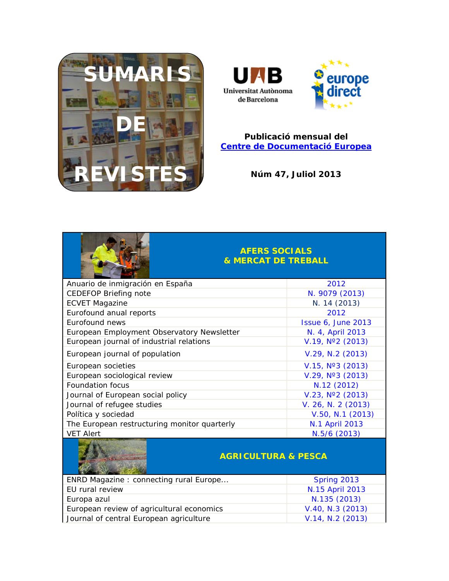

**The Contract of the Contract of the Contract of The Contract of The Contract of The Contract of The Contract of The Contract of The Contract of The Contract of The Contract of The Contract of The Contract of The Contract** 



#### **Publicació mensual del [Centre de Documentació Europea](http://www.uab.cat/biblioteques/cde/)**

**Núm 47, Juliol 2013**

|                                              | <b>AFERS SOCIALS</b><br><b>&amp; MERCAT DE TREBALL</b> |  |
|----------------------------------------------|--------------------------------------------------------|--|
| Anuario de inmigración en España             | 2012                                                   |  |
| <b>CEDEFOP Briefing note</b>                 | N. 9079 (2013)                                         |  |
| <b>ECVET Magazine</b>                        | N. 14 (2013)                                           |  |
| Eurofound anual reports                      | 2012                                                   |  |
| Eurofound news                               | <b>Issue 6, June 2013</b>                              |  |
| European Employment Observatory Newsletter   | N. 4, April 2013                                       |  |
| European journal of industrial relations     | $V.19$ , $N°2$ (2013)                                  |  |
| European journal of population               | V.29, N.2 (2013)                                       |  |
| European societies                           | V.15, N°3 (2013)                                       |  |
| European sociological review                 | V.29, N°3 (2013)                                       |  |
| <b>Foundation focus</b>                      | N.12 (2012)                                            |  |
| Journal of European social policy            | V.23, N°2 (2013)                                       |  |
| Journal of refugee studies                   | V. 26, N. 2 (2013)                                     |  |
| Política y sociedad                          | V.50, N.1 (2013)                                       |  |
| The European restructuring monitor quarterly | N.1 April 2013                                         |  |
| <b>VET Alert</b>                             | N.5/6 (2013)                                           |  |
|                                              |                                                        |  |

### **AGRICULTURA & PESCA**

| ENRD Magazine: connecting rural Europe    | Spring 2013      |
|-------------------------------------------|------------------|
| EU rural review                           | N.15 April 2013  |
| Europa azul                               | N.135 (2013)     |
| European review of agricultural economics | V.40, N.3 (2013) |
| Journal of central European agriculture   | V.14, N.2 (2013) |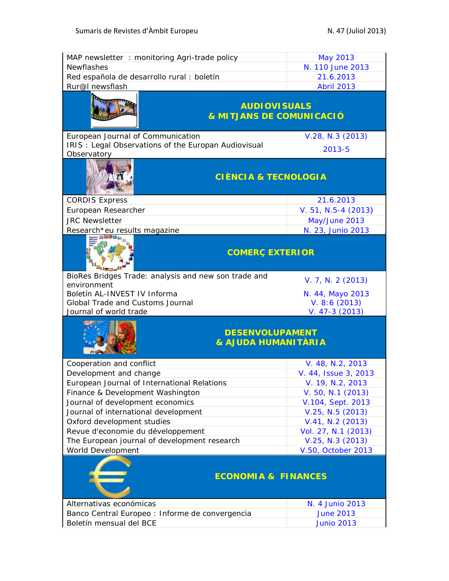| MAP newsletter: monitoring Agri-trade policy                               | May 2013                              |
|----------------------------------------------------------------------------|---------------------------------------|
| Newflashes                                                                 | N. 110 June 2013                      |
| Red española de desarrollo rural : boletín                                 | 21.6.2013                             |
| Rur@I newsflash                                                            | <b>Abril 2013</b>                     |
| <b>AUDIOVISUALS</b><br><b>&amp; MITJANS DE COMUNICACIÓ</b>                 |                                       |
| European Journal of Communication                                          | V.28, N.3 (2013)                      |
| IRIS: Legal Observations of the Europan Audiovisual                        | $2013 - 5$                            |
| Observatory<br><b>CIÈNCIA &amp; TECNOLOGIA</b>                             |                                       |
| <b>CORDIS Express</b>                                                      | 21.6.2013                             |
| European Researcher                                                        | V. 51, N.5-4 (2013)                   |
| <b>JRC</b> Newsletter                                                      | May/June 2013                         |
| Research*eu results magazine                                               | N. 23, Junio 2013                     |
| <b>COMERÇ EXTERIOR</b>                                                     |                                       |
| BioRes Bridges Trade: analysis and new son trade and                       | V. 7, N. 2 (2013)                     |
| environment<br>Boletín AL-INVEST IV Informa                                | N. 44, Mayo 2013                      |
| Global Trade and Customs Journal                                           | V. 8:6(2013)                          |
| Journal of world trade                                                     | $V. 47-3(2013)$                       |
| <b>DESENVOLUPAMENT</b><br><b>&amp; AJUDA HUMANITÀRIA</b>                   |                                       |
| Cooperation and conflict                                                   | V. 48, N.2, 2013                      |
| Development and change                                                     | V. 44, Issue 3, 2013                  |
| European Journal of International Relations                                | V. 19, N.2, 2013                      |
| Finance & Development Washington                                           | V. 50, N.1 (2013)                     |
| Journal of development economics                                           | V.104, Sept. 2013                     |
| Journal of international development                                       | V.25, N.5 (2013)                      |
| Oxford development studies                                                 | V.41, N.2 (2013)                      |
|                                                                            |                                       |
| Revue d'economie du développement                                          | Vol. 27, N.1 (2013)                   |
| The European journal of development research                               | $V.25, N.3$ (2013)                    |
| <b>World Development</b>                                                   | V.50, October 2013                    |
| <b>ECONOMIA &amp; FINANCES</b>                                             |                                       |
| Alternativas económicas                                                    | N. 4 Junio 2013                       |
| Banco Central Europeo : Informe de convergencia<br>Boletín mensual del BCE | <b>June 2013</b><br><b>Junio 2013</b> |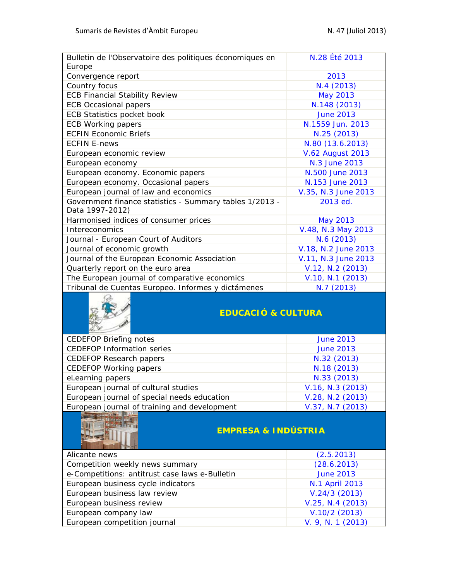| Bulletin de l'Observatoire des politiques économiques en<br>Europe         | N.28 Été 2013           |
|----------------------------------------------------------------------------|-------------------------|
| Convergence report                                                         | 2013                    |
| Country focus                                                              | N.4 (2013)              |
| <b>ECB Financial Stability Review</b>                                      | <b>May 2013</b>         |
| <b>ECB Occasional papers</b>                                               | N.148 (2013)            |
| <b>ECB Statistics pocket book</b>                                          | <b>June 2013</b>        |
| <b>ECB Working papers</b>                                                  | N.1559 Jun. 2013        |
| <b>ECFIN Economic Briefs</b>                                               | N.25 (2013)             |
| <b>ECFIN E-news</b>                                                        | N.80 (13.6.2013)        |
| European economic review                                                   | <b>V.62 August 2013</b> |
| European economy                                                           | N.3 June 2013           |
| European economy. Economic papers                                          | N.500 June 2013         |
| European economy. Occasional papers                                        | N.153 June 2013         |
| European journal of law and economics                                      | V.35, N.3 June 2013     |
| Government finance statistics - Summary tables 1/2013 -<br>Data 1997-2012) | 2013 ed.                |
| Harmonised indices of consumer prices                                      | May 2013                |
| Intereconomics                                                             | V.48, N.3 May 2013      |
| Journal - European Court of Auditors                                       | N.6 (2013)              |
| Journal of economic growth                                                 | V.18, N.2 June 2013     |
| Journal of the European Economic Association                               | V.11, N.3 June 2013     |
| Quarterly report on the euro area                                          | V.12, N.2 (2013)        |
| The European journal of comparative economics                              | V.10, N.1 (2013)        |
| Tribunal de Cuentas Europeo. Informes y dictámenes                         | N.7 (2013)              |



# **EDUCACIÓ & CULTURA**

| <b>CEDEFOP Briefing notes</b>                | <b>June 2013</b> |
|----------------------------------------------|------------------|
| <b>CEDEFOP Information series</b>            | <b>June 2013</b> |
| <b>CEDEFOP Research papers</b>               | N.32 (2013)      |
| <b>CEDEFOP Working papers</b>                | N.18 (2013)      |
| eLearning papers                             | N.33 (2013)      |
| European journal of cultural studies         | V.16, N.3 (2013) |
| European journal of special needs education  | V.28, N.2 (2013) |
| European journal of training and development | V.37, N.7 (2013) |
|                                              |                  |



# **EMPRESA & INDÚSTRIA**

| Alicante news                                  | (2.5.2013)        |
|------------------------------------------------|-------------------|
| Competition weekly news summary                | (28.6.2013)       |
| e-Competitions: antitrust case laws e-Bulletin | <b>June 2013</b>  |
| European business cycle indicators             | N.1 April 2013    |
| European business law review                   | V.24/3(2013)      |
| European business review                       | V.25, N.4 (2013)  |
| European company law                           | $V.10/2$ (2013)   |
| European competition journal                   | V. 9, N. 1 (2013) |
|                                                |                   |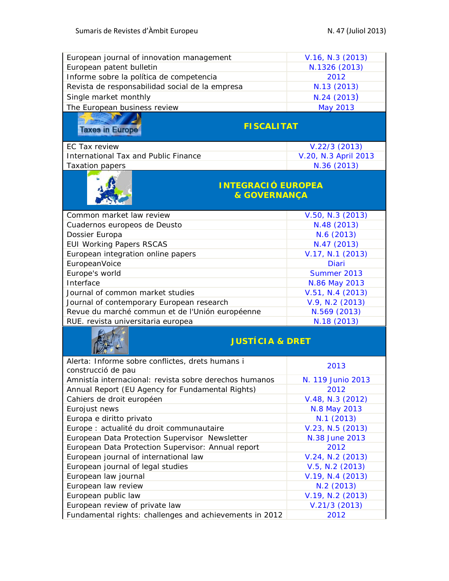| European journal of innovation management                                     | V.16, N.3 (2013)           |  |
|-------------------------------------------------------------------------------|----------------------------|--|
| European patent bulletin                                                      | N.1326 (2013)              |  |
| Informe sobre la política de competencia                                      | 2012                       |  |
| Revista de responsabilidad social de la empresa                               | N.13 (2013)                |  |
| Single market monthly                                                         | N.24(2013)                 |  |
| The European business review                                                  | <b>May 2013</b>            |  |
|                                                                               |                            |  |
| <b>FISCALITAT</b><br><b>Taxes in Europe</b>                                   |                            |  |
|                                                                               |                            |  |
| EC Tax review                                                                 | $V.22/3$ (2013)            |  |
| <b>International Tax and Public Finance</b>                                   | V.20, N.3 April 2013       |  |
| <b>Taxation papers</b>                                                        | N.36 (2013)                |  |
|                                                                               |                            |  |
| <b>INTEGRACIÓ EUROPEA</b>                                                     |                            |  |
| <b>&amp; GOVERNANÇA</b>                                                       |                            |  |
|                                                                               |                            |  |
| Common market law review                                                      | V.50, N.3 (2013)           |  |
| Cuadernos europeos de Deusto                                                  | N.48 (2013)                |  |
| Dossier Europa                                                                | N.6 (2013)                 |  |
| <b>EUI Working Papers RSCAS</b>                                               | N.47 (2013)                |  |
| European integration online papers                                            | V.17, N.1 (2013)           |  |
| EuropeanVoice                                                                 | <b>Diari</b>               |  |
| Europe's world                                                                | Summer 2013                |  |
| Interface                                                                     | N.86 May 2013              |  |
| Journal of common market studies                                              | $V.51, N.4$ (2013)         |  |
| Journal of contemporary European research                                     | V.9, N.2 (2013)            |  |
| Revue du marché commun et de l'Unión européenne                               | N.569 (2013)               |  |
| RUE. revista universitaria europea                                            | N.18 (2013)                |  |
|                                                                               |                            |  |
| <b>JUSTÍCIA &amp; DRET</b>                                                    |                            |  |
|                                                                               |                            |  |
| Alerta: Informe sobre conflictes, drets humans i                              | 2013                       |  |
| construcció de pau<br>Amnistía internacional: revista sobre derechos humanos  | N. 119 Junio 2013          |  |
|                                                                               |                            |  |
| Annual Report (EU Agency for Fundamental Rights)<br>Cahiers de droit européen | 2012<br>V.48, N.3 (2012)   |  |
| Eurojust news                                                                 |                            |  |
| Europa e diritto privato                                                      | N.8 May 2013<br>N.1 (2013) |  |
| Europe : actualité du droit communautaire                                     | V.23, N.5 (2013)           |  |
| European Data Protection Supervisor Newsletter                                | N.38 June 2013             |  |
| European Data Protection Supervisor: Annual report                            | 2012                       |  |
| European journal of international law                                         | $V.24, N.2$ (2013)         |  |
| European journal of legal studies                                             | $V.5$ , N.2 (2013)         |  |
| European law journal                                                          | V.19, N.4 (2013)           |  |
| European law review                                                           | N.2 (2013)                 |  |
| European public law                                                           | V.19, N.2 (2013)           |  |
| European review of private law                                                | V.21/3(2013)               |  |
| Fundamental rights: challenges and achievements in 2012                       | 2012                       |  |
|                                                                               |                            |  |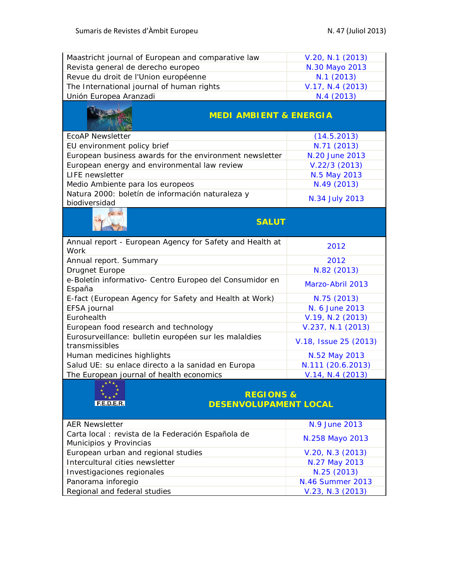| Maastricht journal of European and comparative law                            | V.20, N.1 (2013)        |
|-------------------------------------------------------------------------------|-------------------------|
| Revista general de derecho europeo                                            | N.30 Mayo 2013          |
| Revue du droit de l'Union européenne                                          | N.1 (2013)              |
| The International journal of human rights                                     | V.17, N.4 (2013)        |
| Unión Europea Aranzadi                                                        | N.4 (2013)              |
| <b>MEDI AMBIENT &amp; ENERGIA</b>                                             |                         |
| <b>EcoAP Newsletter</b>                                                       | (14.5.2013)             |
| EU environment policy brief                                                   | N.71 (2013)             |
| European business awards for the environment newsletter                       | N.20 June 2013          |
| European energy and environmental law review                                  | $V.22/3$ (2013)         |
| <b>LIFE</b> newsletter                                                        | N.5 May 2013            |
| Medio Ambiente para los europeos                                              | N.49 (2013)             |
| Natura 2000: boletín de información naturaleza y<br>biodiversidad             | N.34 July 2013          |
| <b>SALUT</b>                                                                  |                         |
| Annual report - European Agency for Safety and Health at<br>Work              | 2012                    |
| Annual report. Summary                                                        | 2012                    |
| Drugnet Europe                                                                | N.82 (2013)             |
| e-Boletín informativo- Centro Europeo del Consumidor en<br>España             | Marzo-Abril 2013        |
| E-fact (European Agency for Safety and Health at Work)                        | N.75 (2013)             |
| EFSA journal                                                                  | N. 6 June 2013          |
| Eurohealth                                                                    | V.19, N.2 (2013)        |
| European food research and technology                                         | V.237, N.1 (2013)       |
| Eurosurveillance: bulletin européen sur les malaldies<br>transmissibles       | V.18, Issue 25 (2013)   |
| Human medicines highlights                                                    | N.52 May 2013           |
| Salud UE: su enlace directo a la sanidad en Europa                            | N.111 (20.6.2013)       |
| The European journal of health economics                                      | V.14, N.4 (2013)        |
| <b>REGIONS &amp;</b><br><b>DESENVOLUPAMENT LOCAL</b>                          |                         |
| <b>AER Newsletter</b>                                                         | N.9 June 2013           |
| Carta local : revista de la Federación Española de<br>Municipios y Provincias | N.258 Mayo 2013         |
| European urban and regional studies                                           | V.20, N.3 (2013)        |
| Intercultural cities newsletter                                               | N.27 May 2013           |
| Investigaciones regionales                                                    | N.25 (2013)             |
| Panorama inforegio                                                            | <b>N.46 Summer 2013</b> |
| Regional and federal studies                                                  | $V.23, N.3$ (2013)      |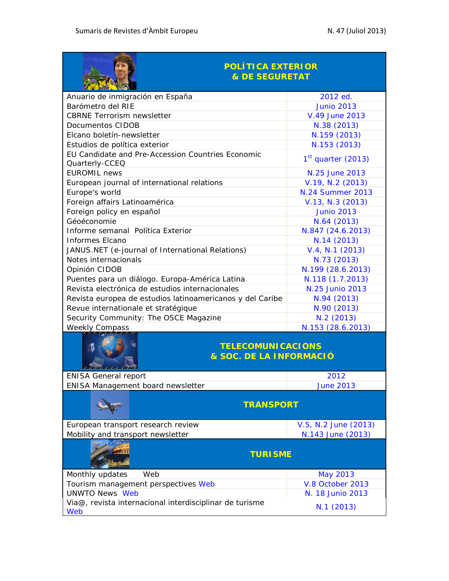| <b>POLÍTICA EXTERIOR</b><br><b>&amp; DE SEGURETAT</b>               |                         |
|---------------------------------------------------------------------|-------------------------|
| Anuario de inmigración en España                                    | 2012 ed.                |
| Barómetro del RIE                                                   | <b>Junio 2013</b>       |
| <b>CBRNE</b> Terrorism newsletter                                   | V.49 June 2013          |
| Documentos CIDOB                                                    | N.38 (2013)             |
| Elcano boletín-newsletter                                           | N.159 (2013)            |
| Estudios de política exterior                                       | N.153 (2013)            |
| EU Candidate and Pre-Accession Countries Economic<br>Quarterly-CCEQ | $1st$ quarter (2013)    |
| <b>EUROMIL</b> news                                                 | N.25 June 2013          |
| European journal of international relations                         | V.19, N.2 (2013)        |
| Europe's world                                                      | <b>N.24 Summer 2013</b> |
| Foreign affairs Latinoamérica                                       | V.13, N.3 (2013)        |
| Foreign policy en español                                           | <b>Junio 2013</b>       |
| Géoéconomie                                                         | N.64 (2013)             |
| Informe semanal Política Exterior                                   | N.847 (24.6.2013)       |
| <b>Informes Elcano</b>                                              | N.14 (2013)             |
| JANUS.NET (e-journal of International Relations)                    | $V.4$ , N.1 (2013)      |
| Notes internacionals                                                | N.73 (2013)             |
| Opinión CIDOB                                                       | N.199 (28.6.2013)       |
| Puentes para un diálogo. Europa-América Latina                      | N.118 (1.7.2013)        |
| Revista electrónica de estudios internacionales                     | N.25 Junio 2013         |
| Revista europea de estudios latinoamericanos y del Caribe           | N.94 (2013)             |
| Revue internationale et stratégique                                 | N.90 (2013)             |
| Security Community: The OSCE Magazine                               | N.2 (2013)              |
| <b>Weekly Compass</b>                                               | N.153 (28.6.2013)       |
| <b>TELECOMUNICACIONS</b><br>& SOC. DE LA INFORMACIÓ                 |                         |
| <b>ENISA General report</b>                                         | 2012                    |
| ENISA Management board newsletter                                   | <b>June 2013</b>        |
| <b>TRANSPORT</b>                                                    |                         |
| European transport research review                                  | V.5, N.2 June (2013)    |
| Mobility and transport newsletter                                   | N.143 June (2013)       |
| <b>TURISME</b>                                                      |                         |
| Web<br>Monthly updates                                              | May 2013                |
| Tourism management perspectives Web                                 | V.8 October 2013        |
| <b>UNWTO News Web</b>                                               | N. 18 Junio 2013        |
| Via@, revista internacional interdisciplinar de turisme<br>Web      | N.1 (2013)              |